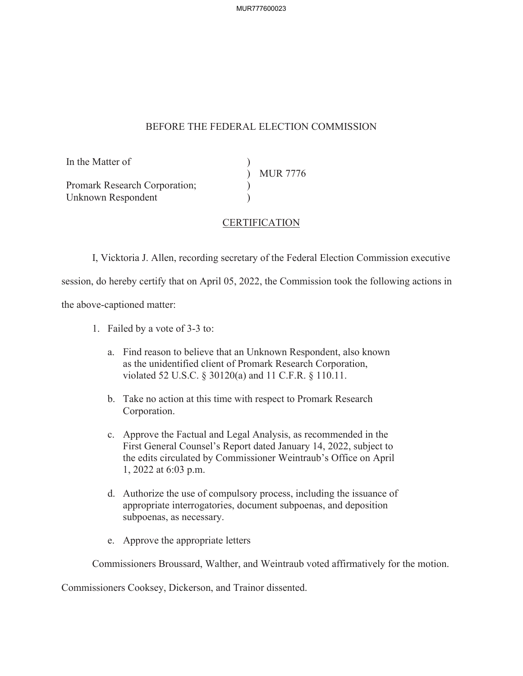MUR777600023

## BEFORE THE FEDERAL ELECTION COMMISSION

In the Matter of

Promark Research Corporation; Unknown Respondent

)<br>) MUR 7776  $\overline{)}$ 

## **CERTIFICATION**

 $\lambda$ 

I, Vicktoria J. Allen, recording secretary of the Federal Election Commission executive

session, do hereby certify that on April 05, 2022, the Commission took the following actions in

the above-captioned matter:

- 1. Failed by a vote of 3-3 to:
	- a. Find reason to believe that an Unknown Respondent, also known as the unidentified client of Promark Research Corporation, violated 52 U.S.C. § 30120(a) and 11 C.F.R. § 110.11.
	- b. Take no action at this time with respect to Promark Research Corporation.
	- c. Approve the Factual and Legal Analysis, as recommended in the First General Counsel's Report dated January 14, 2022, subject to the edits circulated by Commissioner Weintraub's Office on April 1, 2022 at 6:03 p.m.
	- d. Authorize the use of compulsory process, including the issuance of appropriate interrogatories, document subpoenas, and deposition subpoenas, as necessary.
	- e. Approve the appropriate letters

Commissioners Broussard, Walther, and Weintraub voted affirmatively for the motion.

Commissioners Cooksey, Dickerson, and Trainor dissented.